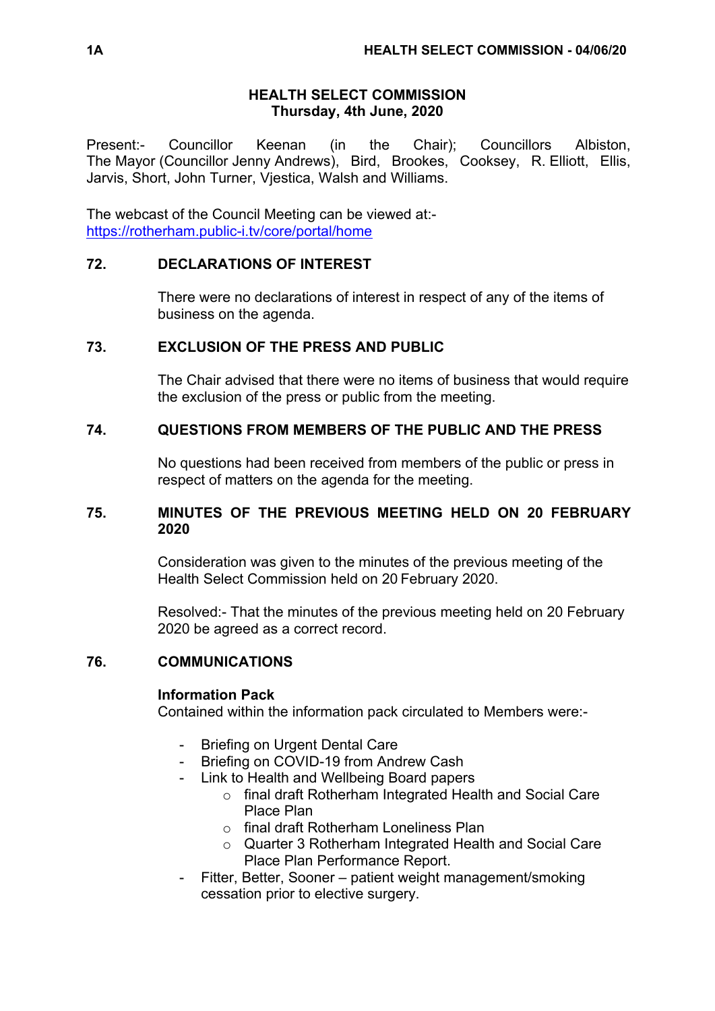# **HEALTH SELECT COMMISSION Thursday, 4th June, 2020**

Present:- Councillor Keenan (in the Chair); Councillors Albiston, The Mayor (Councillor Jenny Andrews), Bird, Brookes, Cooksey, R. Elliott, Ellis, Jarvis, Short, John Turner, Vjestica, Walsh and Williams.

The webcast of the Council Meeting can be viewed at: <https://rotherham.public-i.tv/core/portal/home>

# **72. DECLARATIONS OF INTEREST**

There were no declarations of interest in respect of any of the items of business on the agenda.

# **73. EXCLUSION OF THE PRESS AND PUBLIC**

The Chair advised that there were no items of business that would require the exclusion of the press or public from the meeting.

# **74. QUESTIONS FROM MEMBERS OF THE PUBLIC AND THE PRESS**

No questions had been received from members of the public or press in respect of matters on the agenda for the meeting.

# **75. MINUTES OF THE PREVIOUS MEETING HELD ON 20 FEBRUARY 2020**

Consideration was given to the minutes of the previous meeting of the Health Select Commission held on 20 February 2020.

Resolved:- That the minutes of the previous meeting held on 20 February 2020 be agreed as a correct record.

# **76. COMMUNICATIONS**

# **Information Pack**

Contained within the information pack circulated to Members were:-

- Briefing on Urgent Dental Care
- Briefing on COVID-19 from Andrew Cash
- Link to Health and Wellbeing Board papers
	- o final draft Rotherham Integrated Health and Social Care Place Plan
	- o final draft Rotherham Loneliness Plan
	- o Quarter 3 Rotherham Integrated Health and Social Care Place Plan Performance Report.
- Fitter, Better, Sooner patient weight management/smoking cessation prior to elective surgery.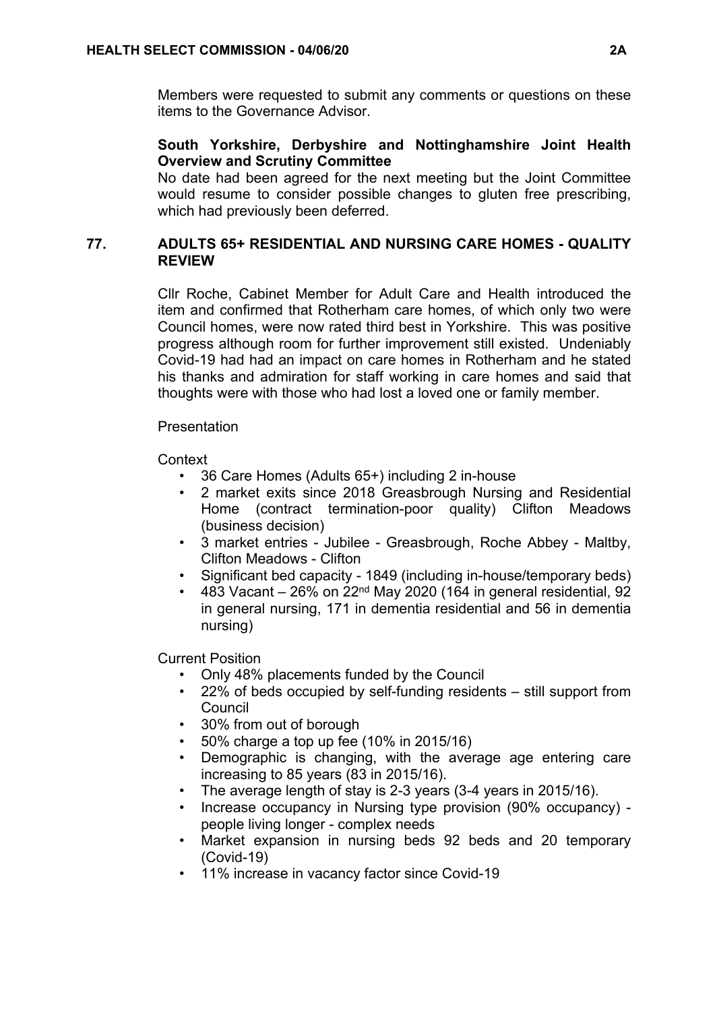Members were requested to submit any comments or questions on these items to the Governance Advisor.

# **South Yorkshire, Derbyshire and Nottinghamshire Joint Health Overview and Scrutiny Committee**

No date had been agreed for the next meeting but the Joint Committee would resume to consider possible changes to gluten free prescribing. which had previously been deferred.

# **77. ADULTS 65+ RESIDENTIAL AND NURSING CARE HOMES - QUALITY REVIEW**

Cllr Roche, Cabinet Member for Adult Care and Health introduced the item and confirmed that Rotherham care homes, of which only two were Council homes, were now rated third best in Yorkshire. This was positive progress although room for further improvement still existed. Undeniably Covid-19 had had an impact on care homes in Rotherham and he stated his thanks and admiration for staff working in care homes and said that thoughts were with those who had lost a loved one or family member.

# **Presentation**

**Context** 

- 36 Care Homes (Adults 65+) including 2 in-house
- 2 market exits since 2018 Greasbrough Nursing and Residential Home (contract termination-poor quality) Clifton Meadows (business decision)
- 3 market entries Jubilee Greasbrough, Roche Abbey Maltby, Clifton Meadows - Clifton
- Significant bed capacity 1849 (including in-house/temporary beds)
- 483 Vacant  $-26\%$  on 22<sup>nd</sup> May 2020 (164 in general residential, 92 in general nursing, 171 in dementia residential and 56 in dementia nursing)

Current Position

- Only 48% placements funded by the Council
- 22% of beds occupied by self-funding residents still support from Council
- 30% from out of borough
- $\cdot$  50% charge a top up fee (10% in 2015/16)
- Demographic is changing, with the average age entering care increasing to 85 years (83 in 2015/16).
- The average length of stay is 2-3 years (3-4 years in 2015/16).
- Increase occupancy in Nursing type provision (90% occupancy) people living longer - complex needs
- Market expansion in nursing beds 92 beds and 20 temporary (Covid-19)
- 11% increase in vacancy factor since Covid-19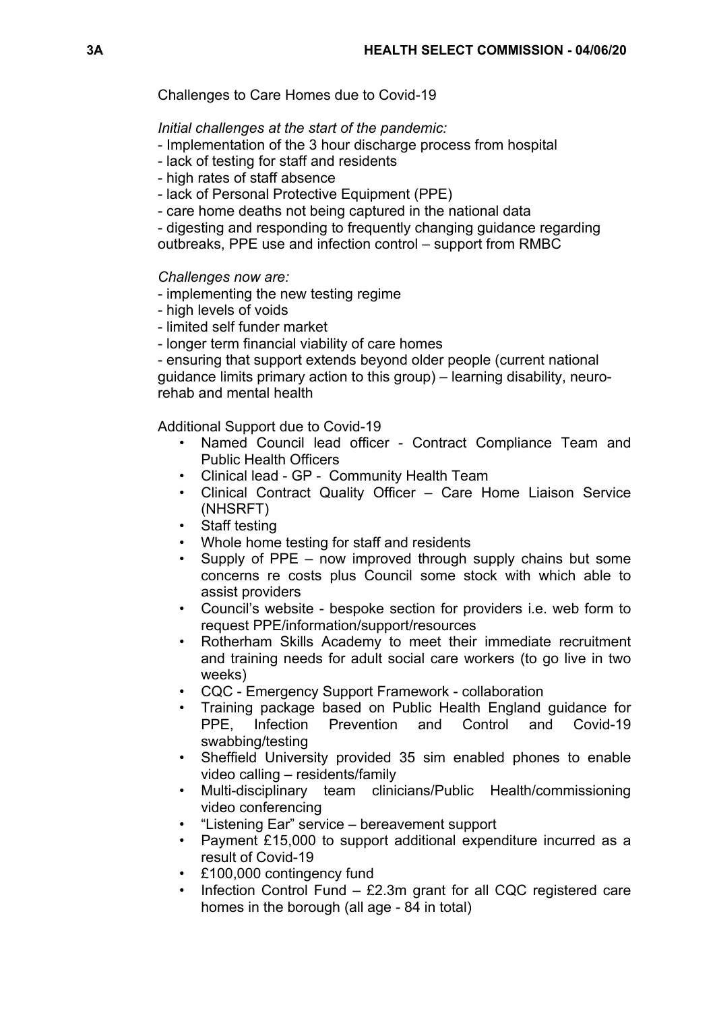### Challenges to Care Homes due to Covid-19

### *Initial challenges at the start of the pandemic:*

- Implementation of the 3 hour discharge process from hospital
- lack of testing for staff and residents
- high rates of staff absence
- lack of Personal Protective Equipment (PPE)
- care home deaths not being captured in the national data

- digesting and responding to frequently changing guidance regarding outbreaks, PPE use and infection control – support from RMBC

### *Challenges now are:*

- implementing the new testing regime
- high levels of voids
- limited self funder market
- longer term financial viability of care homes

- ensuring that support extends beyond older people (current national guidance limits primary action to this group) – learning disability, neurorehab and mental health

Additional Support due to Covid-19

- Named Council lead officer Contract Compliance Team and Public Health Officers
- Clinical lead GP Community Health Team
- Clinical Contract Quality Officer Care Home Liaison Service (NHSRFT)
- Staff testing
- Whole home testing for staff and residents
- Supply of PPE now improved through supply chains but some concerns re costs plus Council some stock with which able to assist providers
- Council's website bespoke section for providers i.e. web form to request PPE/information/support/resources
- Rotherham Skills Academy to meet their immediate recruitment and training needs for adult social care workers (to go live in two weeks)
- CQC Emergency Support Framework collaboration
- Training package based on Public Health England guidance for PPE, Infection Prevention and Control and Covid-19 swabbing/testing
- Sheffield University provided 35 sim enabled phones to enable video calling – residents/family
- Multi-disciplinary team clinicians/Public Health/commissioning video conferencing
- "Listening Ear" service bereavement support
- Payment £15,000 to support additional expenditure incurred as a result of Covid-19
- £100,000 contingency fund
- Infection Control Fund  $-$  £2.3m grant for all CQC registered care homes in the borough (all age - 84 in total)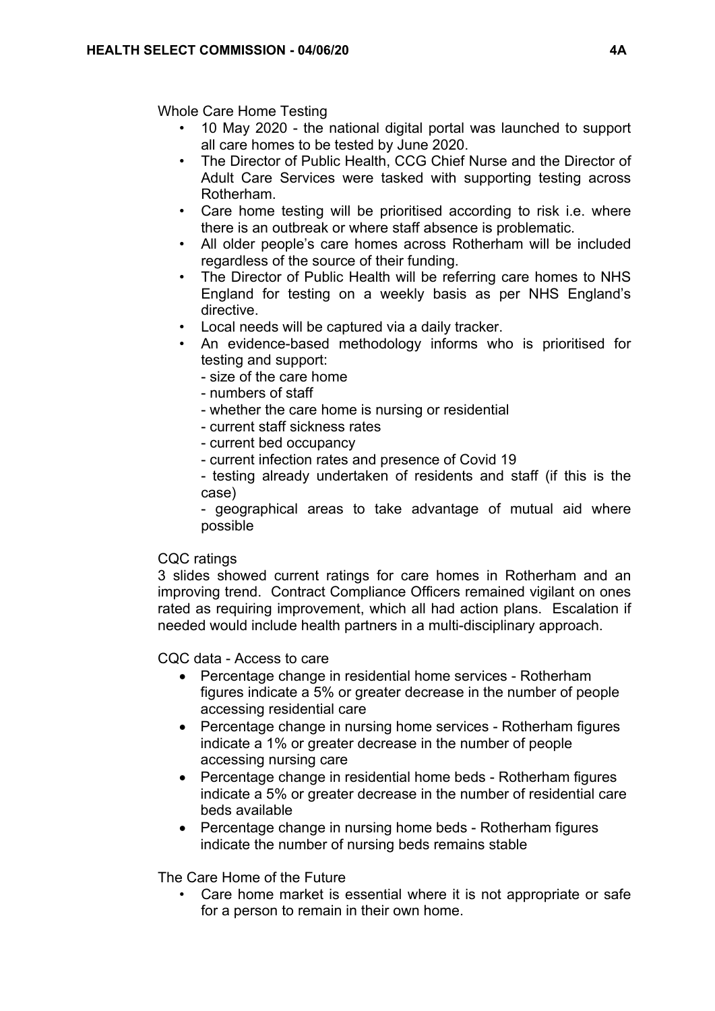Whole Care Home Testing

- 10 May 2020 the national digital portal was launched to support all care homes to be tested by June 2020.
- The Director of Public Health, CCG Chief Nurse and the Director of Adult Care Services were tasked with supporting testing across Rotherham.
- Care home testing will be prioritised according to risk i.e. where there is an outbreak or where staff absence is problematic.
- All older people's care homes across Rotherham will be included regardless of the source of their funding.
- The Director of Public Health will be referring care homes to NHS England for testing on a weekly basis as per NHS England's directive.
- Local needs will be captured via a daily tracker.
- An evidence-based methodology informs who is prioritised for testing and support:
	- size of the care home
	- numbers of staff
	- whether the care home is nursing or residential
	- current staff sickness rates
	- current bed occupancy
	- current infection rates and presence of Covid 19
	- testing already undertaken of residents and staff (if this is the case)

- geographical areas to take advantage of mutual aid where possible

### CQC ratings

3 slides showed current ratings for care homes in Rotherham and an improving trend. Contract Compliance Officers remained vigilant on ones rated as requiring improvement, which all had action plans. Escalation if needed would include health partners in a multi-disciplinary approach.

CQC data - Access to care

- Percentage change in residential home services Rotherham figures indicate a 5% or greater decrease in the number of people accessing residential care
- Percentage change in nursing home services Rotherham figures indicate a 1% or greater decrease in the number of people accessing nursing care
- Percentage change in residential home beds Rotherham figures indicate a 5% or greater decrease in the number of residential care beds available
- Percentage change in nursing home beds Rotherham figures indicate the number of nursing beds remains stable

The Care Home of the Future

• Care home market is essential where it is not appropriate or safe for a person to remain in their own home.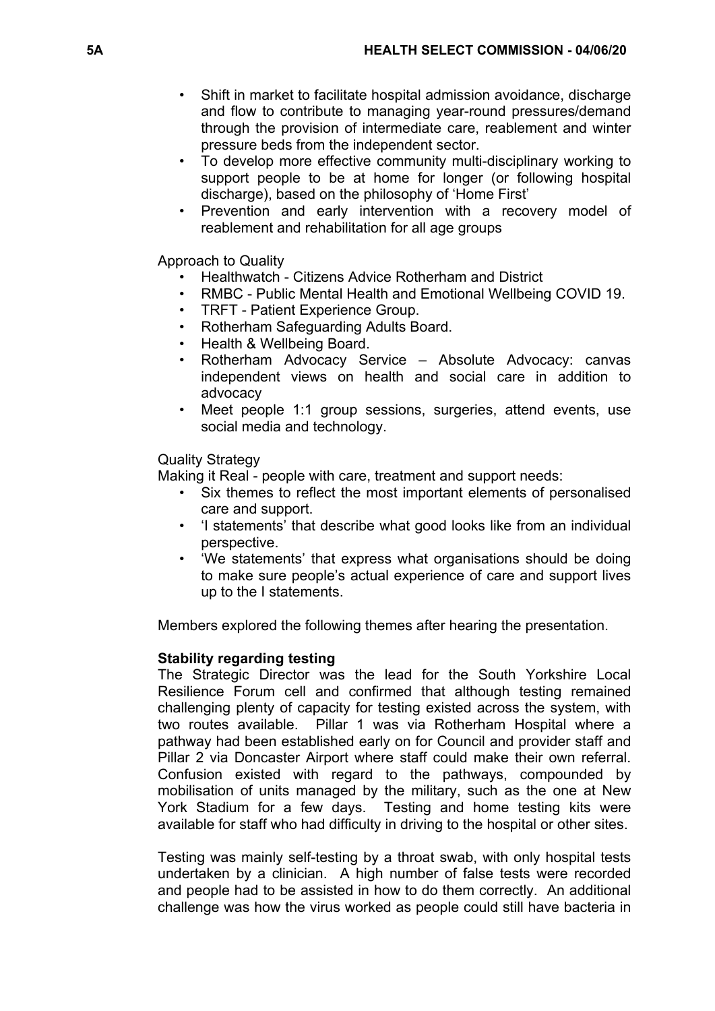- Shift in market to facilitate hospital admission avoidance, discharge and flow to contribute to managing year-round pressures/demand through the provision of intermediate care, reablement and winter pressure beds from the independent sector.
- To develop more effective community multi-disciplinary working to support people to be at home for longer (or following hospital discharge), based on the philosophy of 'Home First'
- Prevention and early intervention with a recovery model of reablement and rehabilitation for all age groups

Approach to Quality

- Healthwatch Citizens Advice Rotherham and District
- RMBC Public Mental Health and Emotional Wellbeing COVID 19.
- TRFT Patient Experience Group.
- Rotherham Safeguarding Adults Board.
- Health & Wellbeing Board.
- Rotherham Advocacy Service Absolute Advocacy: canvas independent views on health and social care in addition to advocacy
- Meet people 1:1 group sessions, surgeries, attend events, use social media and technology.

Quality Strategy

Making it Real - people with care, treatment and support needs:

- Six themes to reflect the most important elements of personalised care and support.
- 'I statements' that describe what good looks like from an individual perspective.
- 'We statements' that express what organisations should be doing to make sure people's actual experience of care and support lives up to the I statements.

Members explored the following themes after hearing the presentation.

# **Stability regarding testing**

The Strategic Director was the lead for the South Yorkshire Local Resilience Forum cell and confirmed that although testing remained challenging plenty of capacity for testing existed across the system, with two routes available. Pillar 1 was via Rotherham Hospital where a pathway had been established early on for Council and provider staff and Pillar 2 via Doncaster Airport where staff could make their own referral. Confusion existed with regard to the pathways, compounded by mobilisation of units managed by the military, such as the one at New York Stadium for a few days. Testing and home testing kits were available for staff who had difficulty in driving to the hospital or other sites.

Testing was mainly self-testing by a throat swab, with only hospital tests undertaken by a clinician. A high number of false tests were recorded and people had to be assisted in how to do them correctly. An additional challenge was how the virus worked as people could still have bacteria in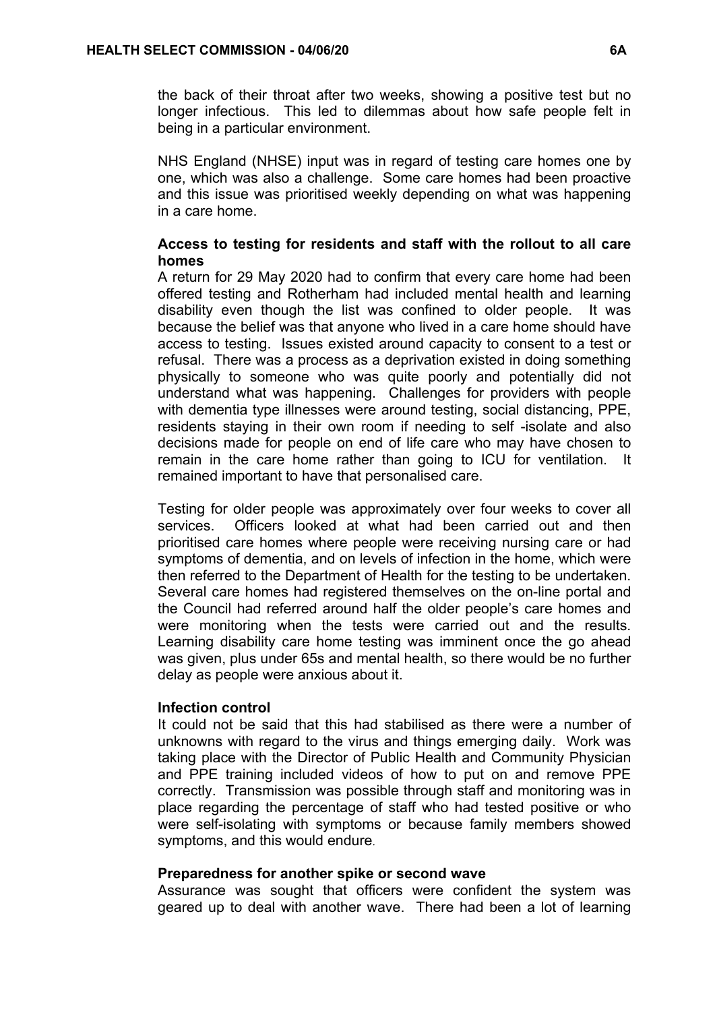the back of their throat after two weeks, showing a positive test but no longer infectious. This led to dilemmas about how safe people felt in being in a particular environment.

NHS England (NHSE) input was in regard of testing care homes one by one, which was also a challenge. Some care homes had been proactive and this issue was prioritised weekly depending on what was happening in a care home.

# **Access to testing for residents and staff with the rollout to all care homes**

A return for 29 May 2020 had to confirm that every care home had been offered testing and Rotherham had included mental health and learning disability even though the list was confined to older people. It was because the belief was that anyone who lived in a care home should have access to testing. Issues existed around capacity to consent to a test or refusal. There was a process as a deprivation existed in doing something physically to someone who was quite poorly and potentially did not understand what was happening. Challenges for providers with people with dementia type illnesses were around testing, social distancing, PPE, residents staying in their own room if needing to self -isolate and also decisions made for people on end of life care who may have chosen to remain in the care home rather than going to ICU for ventilation. It remained important to have that personalised care.

Testing for older people was approximately over four weeks to cover all services. Officers looked at what had been carried out and then prioritised care homes where people were receiving nursing care or had symptoms of dementia, and on levels of infection in the home, which were then referred to the Department of Health for the testing to be undertaken. Several care homes had registered themselves on the on-line portal and the Council had referred around half the older people's care homes and were monitoring when the tests were carried out and the results. Learning disability care home testing was imminent once the go ahead was given, plus under 65s and mental health, so there would be no further delay as people were anxious about it.

### **Infection control**

It could not be said that this had stabilised as there were a number of unknowns with regard to the virus and things emerging daily. Work was taking place with the Director of Public Health and Community Physician and PPE training included videos of how to put on and remove PPE correctly. Transmission was possible through staff and monitoring was in place regarding the percentage of staff who had tested positive or who were self-isolating with symptoms or because family members showed symptoms, and this would endure.

### **Preparedness for another spike or second wave**

Assurance was sought that officers were confident the system was geared up to deal with another wave. There had been a lot of learning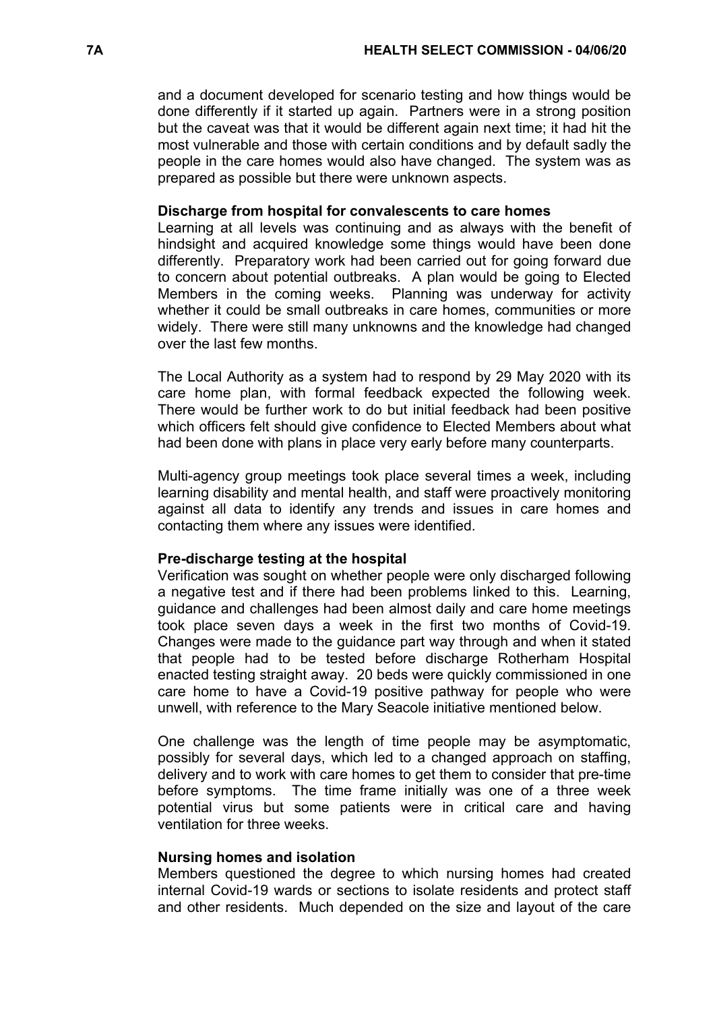and a document developed for scenario testing and how things would be done differently if it started up again. Partners were in a strong position but the caveat was that it would be different again next time; it had hit the most vulnerable and those with certain conditions and by default sadly the people in the care homes would also have changed. The system was as prepared as possible but there were unknown aspects.

#### **Discharge from hospital for convalescents to care homes**

Learning at all levels was continuing and as always with the benefit of hindsight and acquired knowledge some things would have been done differently. Preparatory work had been carried out for going forward due to concern about potential outbreaks. A plan would be going to Elected Members in the coming weeks. Planning was underway for activity whether it could be small outbreaks in care homes, communities or more widely. There were still many unknowns and the knowledge had changed over the last few months.

The Local Authority as a system had to respond by 29 May 2020 with its care home plan, with formal feedback expected the following week. There would be further work to do but initial feedback had been positive which officers felt should give confidence to Elected Members about what had been done with plans in place very early before many counterparts.

Multi-agency group meetings took place several times a week, including learning disability and mental health, and staff were proactively monitoring against all data to identify any trends and issues in care homes and contacting them where any issues were identified.

### **Pre-discharge testing at the hospital**

Verification was sought on whether people were only discharged following a negative test and if there had been problems linked to this. Learning, guidance and challenges had been almost daily and care home meetings took place seven days a week in the first two months of Covid-19. Changes were made to the guidance part way through and when it stated that people had to be tested before discharge Rotherham Hospital enacted testing straight away. 20 beds were quickly commissioned in one care home to have a Covid-19 positive pathway for people who were unwell, with reference to the Mary Seacole initiative mentioned below.

One challenge was the length of time people may be asymptomatic, possibly for several days, which led to a changed approach on staffing, delivery and to work with care homes to get them to consider that pre-time before symptoms. The time frame initially was one of a three week potential virus but some patients were in critical care and having ventilation for three weeks.

#### **Nursing homes and isolation**

Members questioned the degree to which nursing homes had created internal Covid-19 wards or sections to isolate residents and protect staff and other residents. Much depended on the size and layout of the care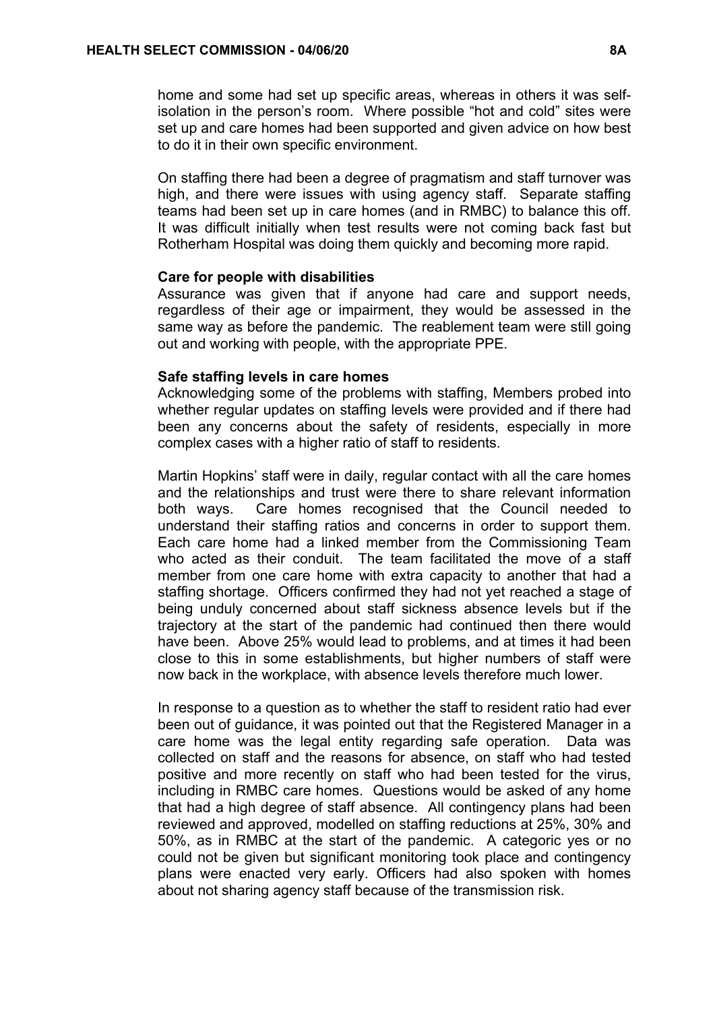home and some had set up specific areas, whereas in others it was selfisolation in the person's room. Where possible "hot and cold" sites were set up and care homes had been supported and given advice on how best to do it in their own specific environment.

On staffing there had been a degree of pragmatism and staff turnover was high, and there were issues with using agency staff. Separate staffing teams had been set up in care homes (and in RMBC) to balance this off. It was difficult initially when test results were not coming back fast but Rotherham Hospital was doing them quickly and becoming more rapid.

### **Care for people with disabilities**

Assurance was given that if anyone had care and support needs, regardless of their age or impairment, they would be assessed in the same way as before the pandemic. The reablement team were still going out and working with people, with the appropriate PPE.

#### **Safe staffing levels in care homes**

Acknowledging some of the problems with staffing, Members probed into whether regular updates on staffing levels were provided and if there had been any concerns about the safety of residents, especially in more complex cases with a higher ratio of staff to residents.

Martin Hopkins' staff were in daily, regular contact with all the care homes and the relationships and trust were there to share relevant information both ways. Care homes recognised that the Council needed to understand their staffing ratios and concerns in order to support them. Each care home had a linked member from the Commissioning Team who acted as their conduit. The team facilitated the move of a staff member from one care home with extra capacity to another that had a staffing shortage. Officers confirmed they had not yet reached a stage of being unduly concerned about staff sickness absence levels but if the trajectory at the start of the pandemic had continued then there would have been. Above 25% would lead to problems, and at times it had been close to this in some establishments, but higher numbers of staff were now back in the workplace, with absence levels therefore much lower.

In response to a question as to whether the staff to resident ratio had ever been out of guidance, it was pointed out that the Registered Manager in a care home was the legal entity regarding safe operation. Data was collected on staff and the reasons for absence, on staff who had tested positive and more recently on staff who had been tested for the virus, including in RMBC care homes. Questions would be asked of any home that had a high degree of staff absence. All contingency plans had been reviewed and approved, modelled on staffing reductions at 25%, 30% and 50%, as in RMBC at the start of the pandemic. A categoric yes or no could not be given but significant monitoring took place and contingency plans were enacted very early. Officers had also spoken with homes about not sharing agency staff because of the transmission risk.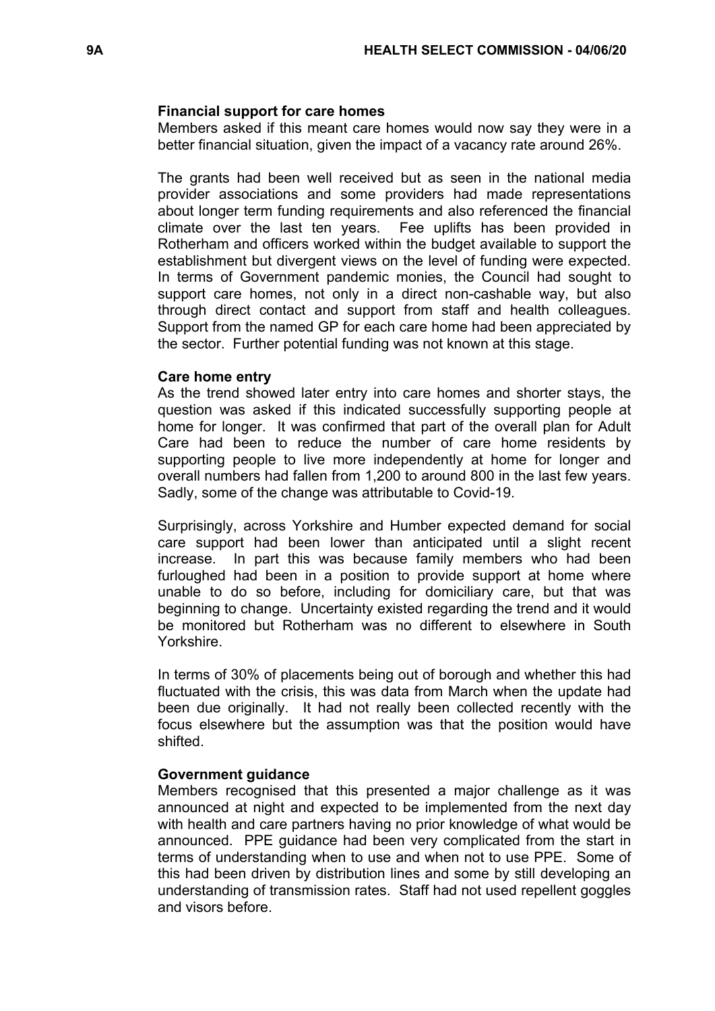### **Financial support for care homes**

Members asked if this meant care homes would now say they were in a better financial situation, given the impact of a vacancy rate around 26%.

The grants had been well received but as seen in the national media provider associations and some providers had made representations about longer term funding requirements and also referenced the financial climate over the last ten years. Fee uplifts has been provided in Rotherham and officers worked within the budget available to support the establishment but divergent views on the level of funding were expected. In terms of Government pandemic monies, the Council had sought to support care homes, not only in a direct non-cashable way, but also through direct contact and support from staff and health colleagues. Support from the named GP for each care home had been appreciated by the sector. Further potential funding was not known at this stage.

#### **Care home entry**

As the trend showed later entry into care homes and shorter stays, the question was asked if this indicated successfully supporting people at home for longer. It was confirmed that part of the overall plan for Adult Care had been to reduce the number of care home residents by supporting people to live more independently at home for longer and overall numbers had fallen from 1,200 to around 800 in the last few years. Sadly, some of the change was attributable to Covid-19.

Surprisingly, across Yorkshire and Humber expected demand for social care support had been lower than anticipated until a slight recent increase. In part this was because family members who had been furloughed had been in a position to provide support at home where unable to do so before, including for domiciliary care, but that was beginning to change. Uncertainty existed regarding the trend and it would be monitored but Rotherham was no different to elsewhere in South Yorkshire.

In terms of 30% of placements being out of borough and whether this had fluctuated with the crisis, this was data from March when the update had been due originally. It had not really been collected recently with the focus elsewhere but the assumption was that the position would have shifted.

### **Government guidance**

Members recognised that this presented a major challenge as it was announced at night and expected to be implemented from the next day with health and care partners having no prior knowledge of what would be announced. PPE guidance had been very complicated from the start in terms of understanding when to use and when not to use PPE. Some of this had been driven by distribution lines and some by still developing an understanding of transmission rates. Staff had not used repellent goggles and visors before.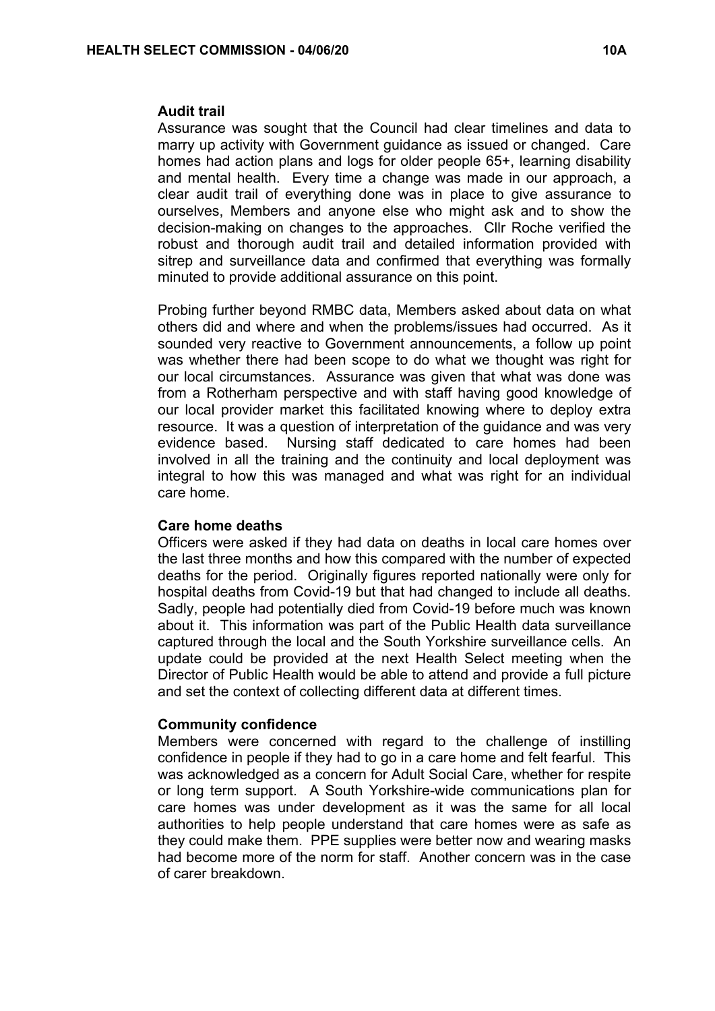#### **Audit trail**

Assurance was sought that the Council had clear timelines and data to marry up activity with Government guidance as issued or changed. Care homes had action plans and logs for older people 65+, learning disability and mental health. Every time a change was made in our approach, a clear audit trail of everything done was in place to give assurance to ourselves, Members and anyone else who might ask and to show the decision-making on changes to the approaches. Cllr Roche verified the robust and thorough audit trail and detailed information provided with sitrep and surveillance data and confirmed that everything was formally minuted to provide additional assurance on this point.

Probing further beyond RMBC data, Members asked about data on what others did and where and when the problems/issues had occurred. As it sounded very reactive to Government announcements, a follow up point was whether there had been scope to do what we thought was right for our local circumstances. Assurance was given that what was done was from a Rotherham perspective and with staff having good knowledge of our local provider market this facilitated knowing where to deploy extra resource. It was a question of interpretation of the guidance and was very evidence based. Nursing staff dedicated to care homes had been involved in all the training and the continuity and local deployment was integral to how this was managed and what was right for an individual care home.

### **Care home deaths**

Officers were asked if they had data on deaths in local care homes over the last three months and how this compared with the number of expected deaths for the period. Originally figures reported nationally were only for hospital deaths from Covid-19 but that had changed to include all deaths. Sadly, people had potentially died from Covid-19 before much was known about it. This information was part of the Public Health data surveillance captured through the local and the South Yorkshire surveillance cells. An update could be provided at the next Health Select meeting when the Director of Public Health would be able to attend and provide a full picture and set the context of collecting different data at different times.

### **Community confidence**

Members were concerned with regard to the challenge of instilling confidence in people if they had to go in a care home and felt fearful. This was acknowledged as a concern for Adult Social Care, whether for respite or long term support. A South Yorkshire-wide communications plan for care homes was under development as it was the same for all local authorities to help people understand that care homes were as safe as they could make them. PPE supplies were better now and wearing masks had become more of the norm for staff. Another concern was in the case of carer breakdown.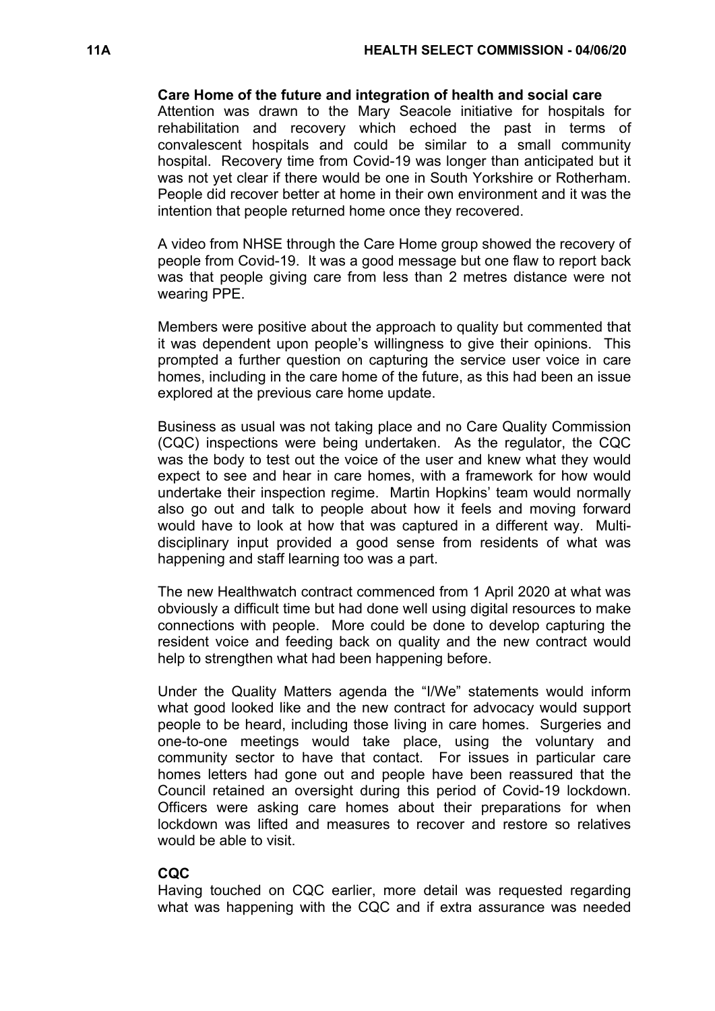### **Care Home of the future and integration of health and social care**

Attention was drawn to the Mary Seacole initiative for hospitals for rehabilitation and recovery which echoed the past in terms of convalescent hospitals and could be similar to a small community hospital. Recovery time from Covid-19 was longer than anticipated but it was not yet clear if there would be one in South Yorkshire or Rotherham. People did recover better at home in their own environment and it was the intention that people returned home once they recovered.

A video from NHSE through the Care Home group showed the recovery of people from Covid-19. It was a good message but one flaw to report back was that people giving care from less than 2 metres distance were not wearing PPE.

Members were positive about the approach to quality but commented that it was dependent upon people's willingness to give their opinions. This prompted a further question on capturing the service user voice in care homes, including in the care home of the future, as this had been an issue explored at the previous care home update.

Business as usual was not taking place and no Care Quality Commission (CQC) inspections were being undertaken. As the regulator, the CQC was the body to test out the voice of the user and knew what they would expect to see and hear in care homes, with a framework for how would undertake their inspection regime. Martin Hopkins' team would normally also go out and talk to people about how it feels and moving forward would have to look at how that was captured in a different way. Multidisciplinary input provided a good sense from residents of what was happening and staff learning too was a part.

The new Healthwatch contract commenced from 1 April 2020 at what was obviously a difficult time but had done well using digital resources to make connections with people. More could be done to develop capturing the resident voice and feeding back on quality and the new contract would help to strengthen what had been happening before.

Under the Quality Matters agenda the "I/We" statements would inform what good looked like and the new contract for advocacy would support people to be heard, including those living in care homes. Surgeries and one-to-one meetings would take place, using the voluntary and community sector to have that contact. For issues in particular care homes letters had gone out and people have been reassured that the Council retained an oversight during this period of Covid-19 lockdown. Officers were asking care homes about their preparations for when lockdown was lifted and measures to recover and restore so relatives would be able to visit.

# **CQC**

Having touched on CQC earlier, more detail was requested regarding what was happening with the CQC and if extra assurance was needed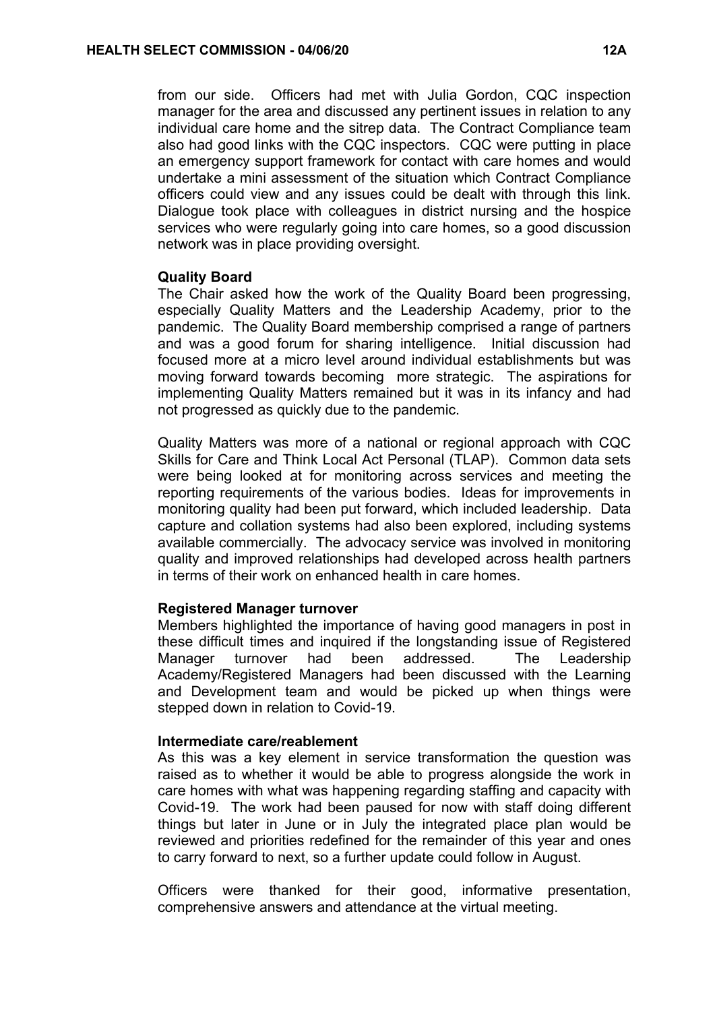from our side. Officers had met with Julia Gordon, CQC inspection manager for the area and discussed any pertinent issues in relation to any individual care home and the sitrep data. The Contract Compliance team also had good links with the CQC inspectors. CQC were putting in place an emergency support framework for contact with care homes and would undertake a mini assessment of the situation which Contract Compliance officers could view and any issues could be dealt with through this link. Dialogue took place with colleagues in district nursing and the hospice services who were regularly going into care homes, so a good discussion network was in place providing oversight.

#### **Quality Board**

The Chair asked how the work of the Quality Board been progressing, especially Quality Matters and the Leadership Academy, prior to the pandemic. The Quality Board membership comprised a range of partners and was a good forum for sharing intelligence. Initial discussion had focused more at a micro level around individual establishments but was moving forward towards becoming more strategic. The aspirations for implementing Quality Matters remained but it was in its infancy and had not progressed as quickly due to the pandemic.

Quality Matters was more of a national or regional approach with CQC Skills for Care and Think Local Act Personal (TLAP). Common data sets were being looked at for monitoring across services and meeting the reporting requirements of the various bodies. Ideas for improvements in monitoring quality had been put forward, which included leadership. Data capture and collation systems had also been explored, including systems available commercially. The advocacy service was involved in monitoring quality and improved relationships had developed across health partners in terms of their work on enhanced health in care homes.

### **Registered Manager turnover**

Members highlighted the importance of having good managers in post in these difficult times and inquired if the longstanding issue of Registered Manager turnover had been addressed. The Leadership Academy/Registered Managers had been discussed with the Learning and Development team and would be picked up when things were stepped down in relation to Covid-19.

#### **Intermediate care/reablement**

As this was a key element in service transformation the question was raised as to whether it would be able to progress alongside the work in care homes with what was happening regarding staffing and capacity with Covid-19. The work had been paused for now with staff doing different things but later in June or in July the integrated place plan would be reviewed and priorities redefined for the remainder of this year and ones to carry forward to next, so a further update could follow in August.

Officers were thanked for their good, informative presentation, comprehensive answers and attendance at the virtual meeting.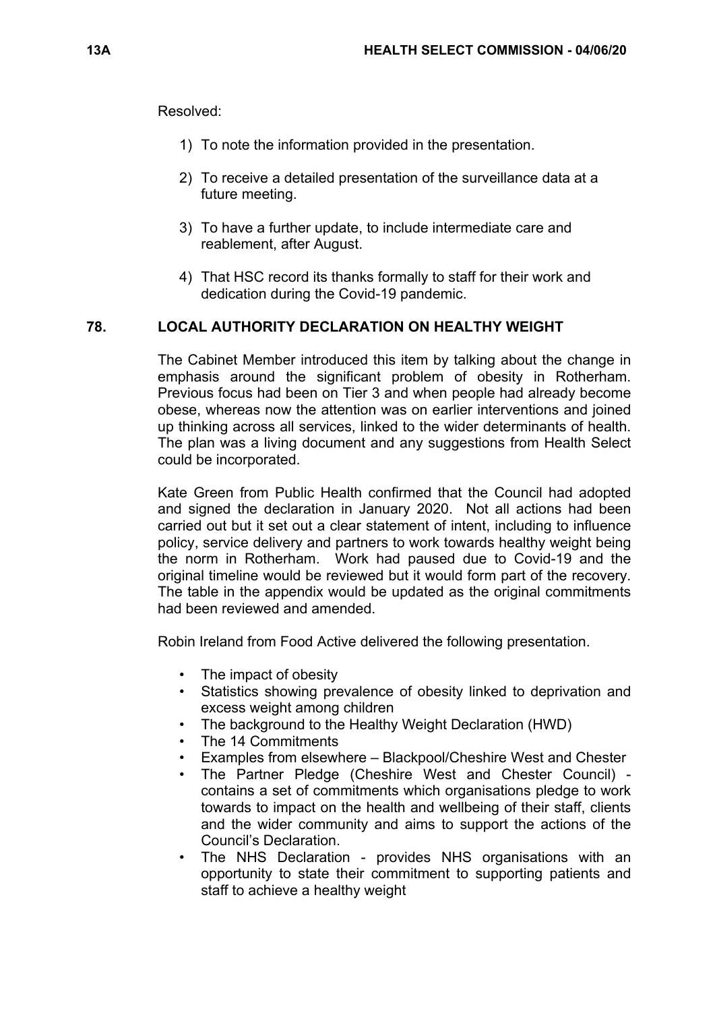Resolved:

- 1) To note the information provided in the presentation.
- 2) To receive a detailed presentation of the surveillance data at a future meeting.
- 3) To have a further update, to include intermediate care and reablement, after August.
- 4) That HSC record its thanks formally to staff for their work and dedication during the Covid-19 pandemic.

### **78. LOCAL AUTHORITY DECLARATION ON HEALTHY WEIGHT**

The Cabinet Member introduced this item by talking about the change in emphasis around the significant problem of obesity in Rotherham. Previous focus had been on Tier 3 and when people had already become obese, whereas now the attention was on earlier interventions and joined up thinking across all services, linked to the wider determinants of health. The plan was a living document and any suggestions from Health Select could be incorporated.

Kate Green from Public Health confirmed that the Council had adopted and signed the declaration in January 2020. Not all actions had been carried out but it set out a clear statement of intent, including to influence policy, service delivery and partners to work towards healthy weight being the norm in Rotherham. Work had paused due to Covid-19 and the original timeline would be reviewed but it would form part of the recovery. The table in the appendix would be updated as the original commitments had been reviewed and amended.

Robin Ireland from Food Active delivered the following presentation.

- The impact of obesity
- Statistics showing prevalence of obesity linked to deprivation and excess weight among children
- The background to the Healthy Weight Declaration (HWD)
- The 14 Commitments
- Examples from elsewhere Blackpool/Cheshire West and Chester
- The Partner Pledge (Cheshire West and Chester Council) contains a set of commitments which organisations pledge to work towards to impact on the health and wellbeing of their staff, clients and the wider community and aims to support the actions of the Council's Declaration.
- The NHS Declaration provides NHS organisations with an opportunity to state their commitment to supporting patients and staff to achieve a healthy weight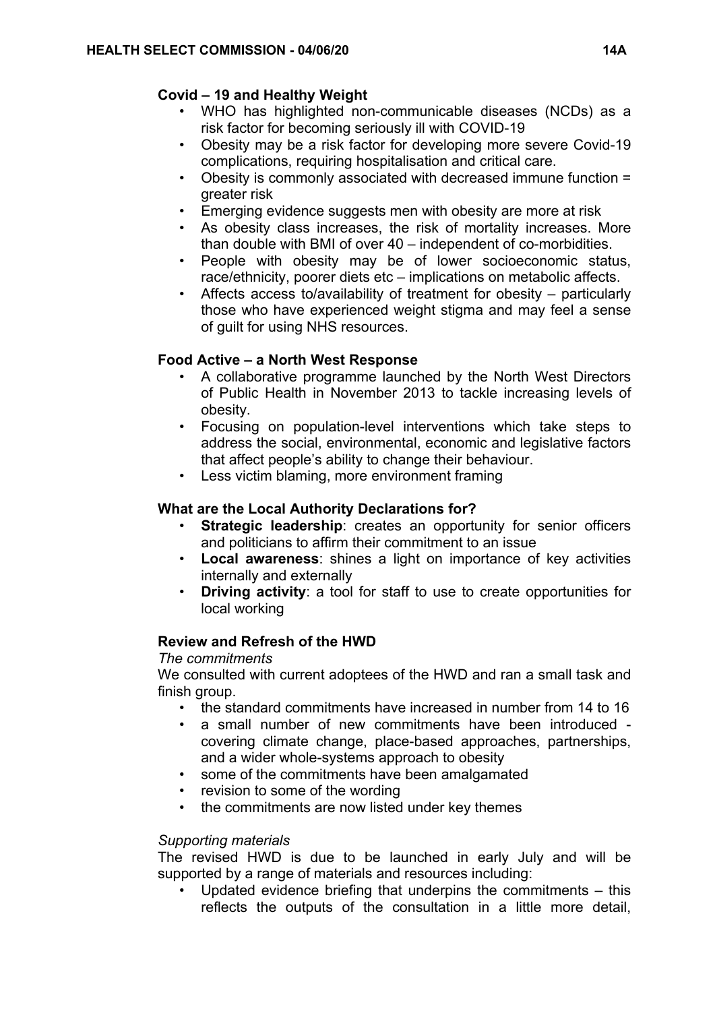# **Covid – 19 and Healthy Weight**

- WHO has highlighted non-communicable diseases (NCDs) as a risk factor for becoming seriously ill with COVID-19
- Obesity may be a risk factor for developing more severe Covid-19 complications, requiring hospitalisation and critical care.
- Obesity is commonly associated with decreased immune function = greater risk
- Emerging evidence suggests men with obesity are more at risk
- As obesity class increases, the risk of mortality increases. More than double with BMI of over 40 – independent of co-morbidities.
- People with obesity may be of lower socioeconomic status, race/ethnicity, poorer diets etc – implications on metabolic affects.
- Affects access to/availability of treatment for obesity particularly those who have experienced weight stigma and may feel a sense of guilt for using NHS resources.

# **Food Active – a North West Response**

- A collaborative programme launched by the North West Directors of Public Health in November 2013 to tackle increasing levels of obesity.
- Focusing on population-level interventions which take steps to address the social, environmental, economic and legislative factors that affect people's ability to change their behaviour.
- Less victim blaming, more environment framing

# **What are the Local Authority Declarations for?**

- **Strategic leadership**: creates an opportunity for senior officers and politicians to affirm their commitment to an issue
- **Local awareness**: shines a light on importance of key activities internally and externally
- **Driving activity**: a tool for staff to use to create opportunities for local working

# **Review and Refresh of the HWD**

# *The commitments*

We consulted with current adoptees of the HWD and ran a small task and finish group.

- the standard commitments have increased in number from 14 to 16
- a small number of new commitments have been introduced covering climate change, place-based approaches, partnerships, and a wider whole-systems approach to obesity
- some of the commitments have been amalgamated
- revision to some of the wording
- the commitments are now listed under key themes

# *Supporting materials*

The revised HWD is due to be launched in early July and will be supported by a range of materials and resources including:

Updated evidence briefing that underpins the commitments  $-$  this reflects the outputs of the consultation in a little more detail,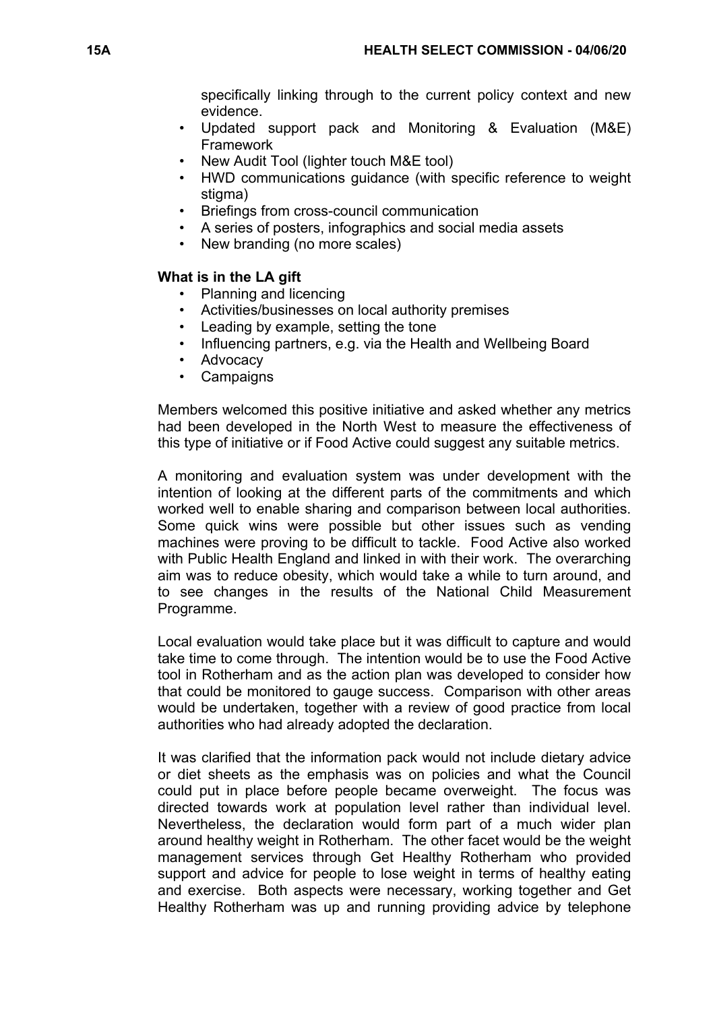specifically linking through to the current policy context and new evidence.

- Updated support pack and Monitoring & Evaluation (M&E) Framework
- New Audit Tool (lighter touch M&E tool)
- HWD communications guidance (with specific reference to weight stigma)
- Briefings from cross-council communication
- A series of posters, infographics and social media assets
- New branding (no more scales)

# **What is in the LA gift**

- Planning and licencing
- Activities/businesses on local authority premises
- Leading by example, setting the tone
- Influencing partners, e.g. via the Health and Wellbeing Board
- Advocacy
- Campaigns

Members welcomed this positive initiative and asked whether any metrics had been developed in the North West to measure the effectiveness of this type of initiative or if Food Active could suggest any suitable metrics.

A monitoring and evaluation system was under development with the intention of looking at the different parts of the commitments and which worked well to enable sharing and comparison between local authorities. Some quick wins were possible but other issues such as vending machines were proving to be difficult to tackle. Food Active also worked with Public Health England and linked in with their work. The overarching aim was to reduce obesity, which would take a while to turn around, and to see changes in the results of the National Child Measurement Programme.

Local evaluation would take place but it was difficult to capture and would take time to come through. The intention would be to use the Food Active tool in Rotherham and as the action plan was developed to consider how that could be monitored to gauge success. Comparison with other areas would be undertaken, together with a review of good practice from local authorities who had already adopted the declaration.

It was clarified that the information pack would not include dietary advice or diet sheets as the emphasis was on policies and what the Council could put in place before people became overweight. The focus was directed towards work at population level rather than individual level. Nevertheless, the declaration would form part of a much wider plan around healthy weight in Rotherham. The other facet would be the weight management services through Get Healthy Rotherham who provided support and advice for people to lose weight in terms of healthy eating and exercise. Both aspects were necessary, working together and Get Healthy Rotherham was up and running providing advice by telephone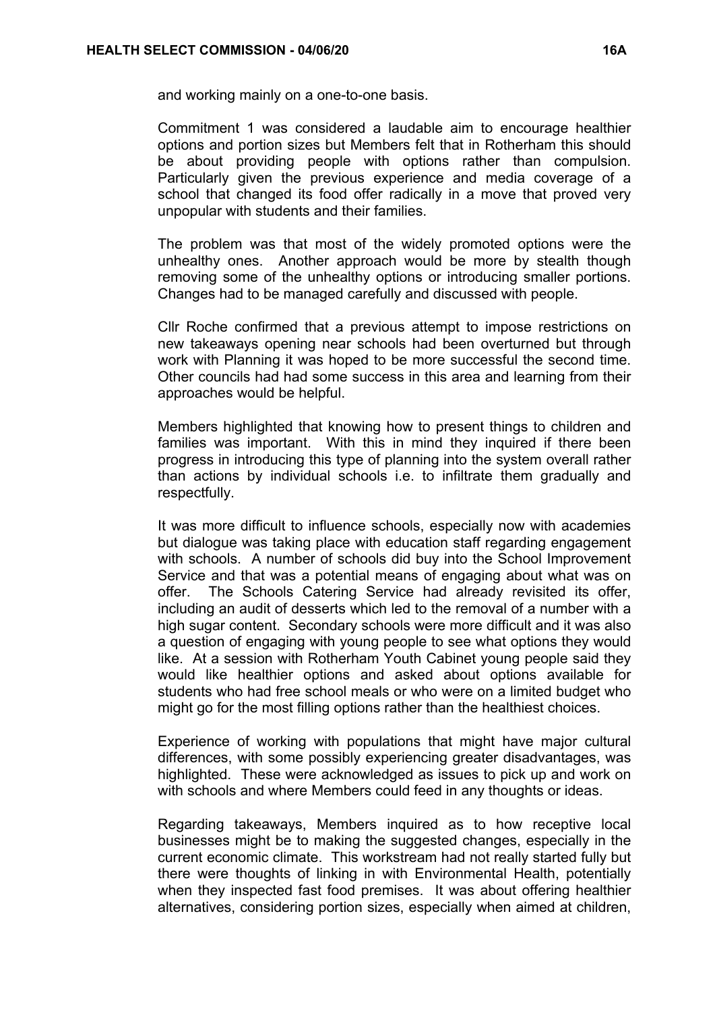and working mainly on a one-to-one basis.

Commitment 1 was considered a laudable aim to encourage healthier options and portion sizes but Members felt that in Rotherham this should be about providing people with options rather than compulsion. Particularly given the previous experience and media coverage of a school that changed its food offer radically in a move that proved very unpopular with students and their families.

The problem was that most of the widely promoted options were the unhealthy ones. Another approach would be more by stealth though removing some of the unhealthy options or introducing smaller portions. Changes had to be managed carefully and discussed with people.

Cllr Roche confirmed that a previous attempt to impose restrictions on new takeaways opening near schools had been overturned but through work with Planning it was hoped to be more successful the second time. Other councils had had some success in this area and learning from their approaches would be helpful.

Members highlighted that knowing how to present things to children and families was important. With this in mind they inquired if there been progress in introducing this type of planning into the system overall rather than actions by individual schools i.e. to infiltrate them gradually and respectfully.

It was more difficult to influence schools, especially now with academies but dialogue was taking place with education staff regarding engagement with schools. A number of schools did buy into the School Improvement Service and that was a potential means of engaging about what was on offer. The Schools Catering Service had already revisited its offer, including an audit of desserts which led to the removal of a number with a high sugar content. Secondary schools were more difficult and it was also a question of engaging with young people to see what options they would like. At a session with Rotherham Youth Cabinet young people said they would like healthier options and asked about options available for students who had free school meals or who were on a limited budget who might go for the most filling options rather than the healthiest choices.

Experience of working with populations that might have major cultural differences, with some possibly experiencing greater disadvantages, was highlighted. These were acknowledged as issues to pick up and work on with schools and where Members could feed in any thoughts or ideas.

Regarding takeaways, Members inquired as to how receptive local businesses might be to making the suggested changes, especially in the current economic climate. This workstream had not really started fully but there were thoughts of linking in with Environmental Health, potentially when they inspected fast food premises. It was about offering healthier alternatives, considering portion sizes, especially when aimed at children,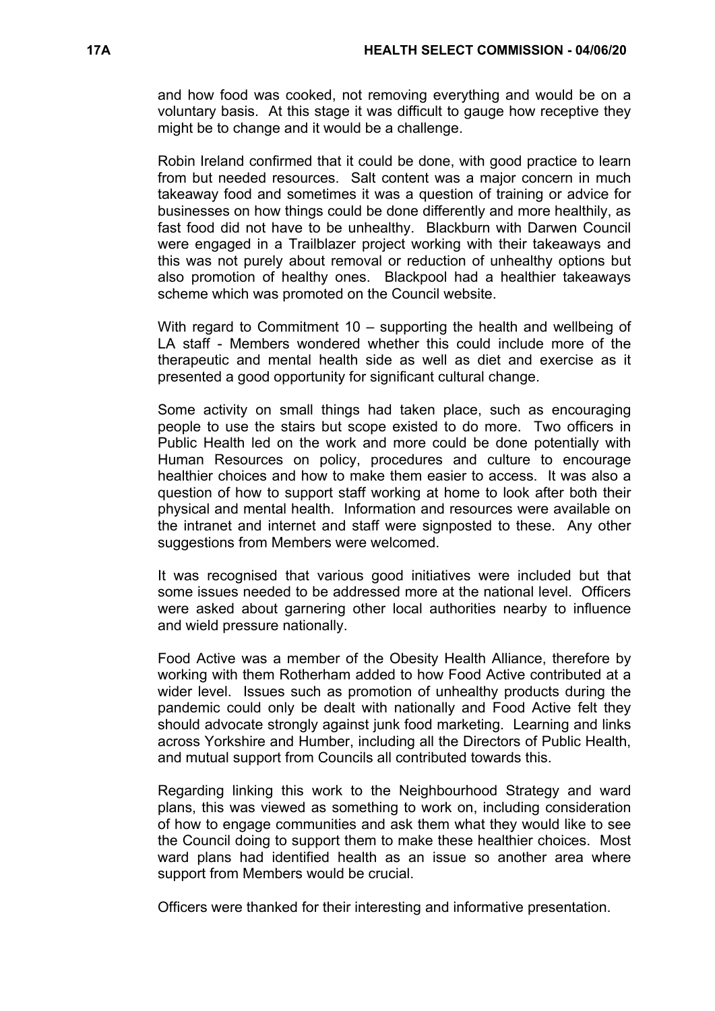and how food was cooked, not removing everything and would be on a voluntary basis. At this stage it was difficult to gauge how receptive they might be to change and it would be a challenge.

Robin Ireland confirmed that it could be done, with good practice to learn from but needed resources. Salt content was a major concern in much takeaway food and sometimes it was a question of training or advice for businesses on how things could be done differently and more healthily, as fast food did not have to be unhealthy. Blackburn with Darwen Council were engaged in a Trailblazer project working with their takeaways and this was not purely about removal or reduction of unhealthy options but also promotion of healthy ones. Blackpool had a healthier takeaways scheme which was promoted on the Council website.

With regard to Commitment 10 – supporting the health and wellbeing of LA staff - Members wondered whether this could include more of the therapeutic and mental health side as well as diet and exercise as it presented a good opportunity for significant cultural change.

Some activity on small things had taken place, such as encouraging people to use the stairs but scope existed to do more. Two officers in Public Health led on the work and more could be done potentially with Human Resources on policy, procedures and culture to encourage healthier choices and how to make them easier to access. It was also a question of how to support staff working at home to look after both their physical and mental health. Information and resources were available on the intranet and internet and staff were signposted to these. Any other suggestions from Members were welcomed.

It was recognised that various good initiatives were included but that some issues needed to be addressed more at the national level. Officers were asked about garnering other local authorities nearby to influence and wield pressure nationally.

Food Active was a member of the Obesity Health Alliance, therefore by working with them Rotherham added to how Food Active contributed at a wider level. Issues such as promotion of unhealthy products during the pandemic could only be dealt with nationally and Food Active felt they should advocate strongly against junk food marketing. Learning and links across Yorkshire and Humber, including all the Directors of Public Health, and mutual support from Councils all contributed towards this.

Regarding linking this work to the Neighbourhood Strategy and ward plans, this was viewed as something to work on, including consideration of how to engage communities and ask them what they would like to see the Council doing to support them to make these healthier choices. Most ward plans had identified health as an issue so another area where support from Members would be crucial.

Officers were thanked for their interesting and informative presentation.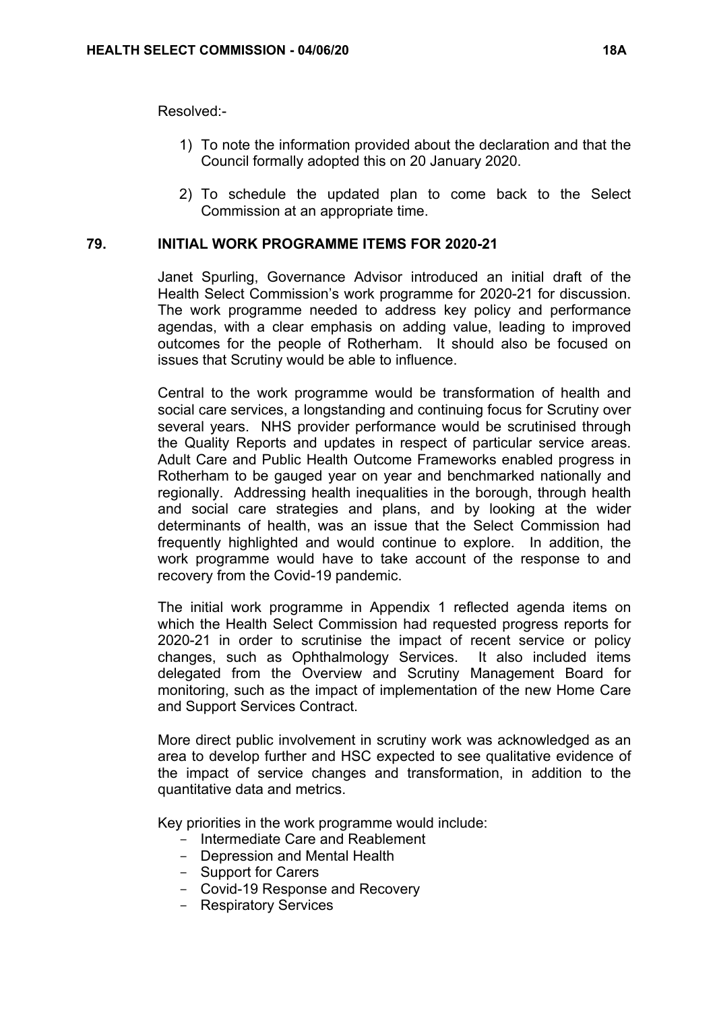Resolved:-

- 1) To note the information provided about the declaration and that the Council formally adopted this on 20 January 2020.
- 2) To schedule the updated plan to come back to the Select Commission at an appropriate time.

# **79. INITIAL WORK PROGRAMME ITEMS FOR 2020-21**

Janet Spurling, Governance Advisor introduced an initial draft of the Health Select Commission's work programme for 2020-21 for discussion. The work programme needed to address key policy and performance agendas, with a clear emphasis on adding value, leading to improved outcomes for the people of Rotherham. It should also be focused on issues that Scrutiny would be able to influence.

Central to the work programme would be transformation of health and social care services, a longstanding and continuing focus for Scrutiny over several years. NHS provider performance would be scrutinised through the Quality Reports and updates in respect of particular service areas. Adult Care and Public Health Outcome Frameworks enabled progress in Rotherham to be gauged year on year and benchmarked nationally and regionally. Addressing health inequalities in the borough, through health and social care strategies and plans, and by looking at the wider determinants of health, was an issue that the Select Commission had frequently highlighted and would continue to explore. In addition, the work programme would have to take account of the response to and recovery from the Covid-19 pandemic.

The initial work programme in Appendix 1 reflected agenda items on which the Health Select Commission had requested progress reports for 2020-21 in order to scrutinise the impact of recent service or policy changes, such as Ophthalmology Services. It also included items delegated from the Overview and Scrutiny Management Board for monitoring, such as the impact of implementation of the new Home Care and Support Services Contract.

More direct public involvement in scrutiny work was acknowledged as an area to develop further and HSC expected to see qualitative evidence of the impact of service changes and transformation, in addition to the quantitative data and metrics.

Key priorities in the work programme would include:

- Intermediate Care and Reablement
- Depression and Mental Health
- Support for Carers
- Covid-19 Response and Recovery
- Respiratory Services